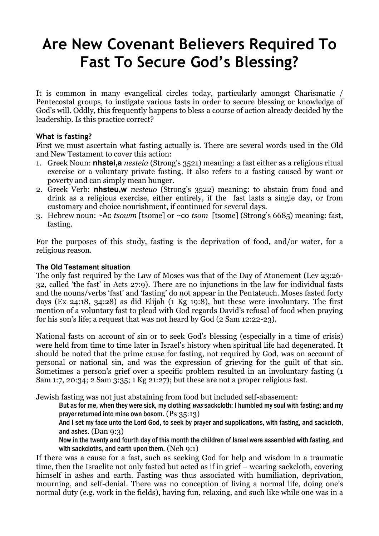# Are New Covenant Believers Required To Fast To Secure God's Blessing?

It is common in many evangelical circles today, particularly amongst Charismatic / Pentecostal groups, to instigate various fasts in order to secure blessing or knowledge of God's will. Oddly, this frequently happens to bless a course of action already decided by the leadership. Is this practice correct?

## What is fasting?

First we must ascertain what fasting actually is. There are several words used in the Old and New Testament to cover this action:

- 1. Greek Noun: **nhstei,a** nesteia (Strong's 3521) meaning: a fast either as a religious ritual exercise or a voluntary private fasting. It also refers to a fasting caused by want or poverty and can simply mean hunger.
- 2. Greek Verb: **nhsteu,w** nesteuo (Strong's 3522) meaning: to abstain from food and drink as a religious exercise, either entirely, if the fast lasts a single day, or from customary and choice nourishment, if continued for several days.
- 3. Hebrew noun: ~Ac tsowm [tsome] or ~co tsom [tsome] (Strong's 6685) meaning: fast, fasting.

For the purposes of this study, fasting is the deprivation of food, and/or water, for a religious reason.

## **The Old Testament situation**

The only fast required by the Law of Moses was that of the Day of Atonement (Lev 23:26- 32, called 'the fast' in Acts 27:9). There are no injunctions in the law for individual fasts and the nouns/verbs 'fast' and 'fasting' do not appear in the Pentateuch. Moses fasted forty days (Ex 24:18, 34:28) as did Elijah (1 Kg 19:8), but these were involuntary. The first mention of a voluntary fast to plead with God regards David's refusal of food when praying for his son's life; a request that was not heard by God (2 Sam 12:22-23).

National fasts on account of sin or to seek God's blessing (especially in a time of crisis) were held from time to time later in Israel's history when spiritual life had degenerated. It should be noted that the prime cause for fasting, not required by God, was on account of personal or national sin, and was the expression of grieving for the guilt of that sin. Sometimes a person's grief over a specific problem resulted in an involuntary fasting (1 Sam 1:7, 20:34; 2 Sam 3:35; 1 Kg 21:27); but these are not a proper religious fast.

Jewish fasting was not just abstaining from food but included self-abasement:

But as for me, when they were sick, my clothing was sackcloth: I humbled my soul with fasting; and my prayer returned into mine own bosom. (Ps 35:13)

And I set my face unto the Lord God, to seek by prayer and supplications, with fasting, and sackcloth, and ashes. (Dan 9:3)

Now in the twenty and fourth day of this month the children of Israel were assembled with fasting, and with sackcloths, and earth upon them. (Neh 9:1)

If there was a cause for a fast, such as seeking God for help and wisdom in a traumatic time, then the Israelite not only fasted but acted as if in grief – wearing sackcloth, covering himself in ashes and earth. Fasting was thus associated with humiliation, deprivation, mourning, and self-denial. There was no conception of living a normal life, doing one's normal duty (e.g. work in the fields), having fun, relaxing, and such like while one was in a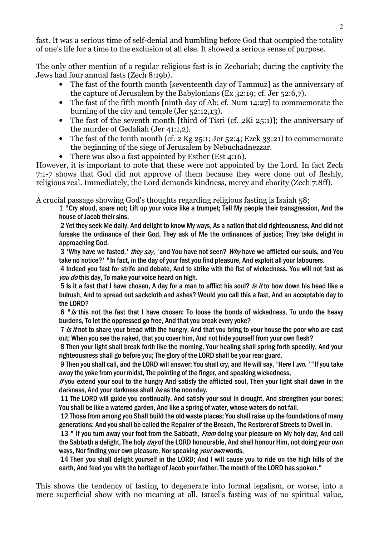fast. It was a serious time of self-denial and humbling before God that occupied the totality of one's life for a time to the exclusion of all else. It showed a serious sense of purpose.

The only other mention of a regular religious fast is in Zechariah; during the captivity the Jews had four annual fasts (Zech 8:19b).

- The fast of the fourth month [seventeenth day of Tammuz] as the anniversary of the capture of Jerusalem by the Babylonians (Ex 32:19; cf. Jer 52:6,7).
- The fast of the fifth month [ninth day of Ab; cf. Num 14:27] to commemorate the burning of the city and temple (Jer 52:12,13).
- The fast of the seventh month [third of Tisri (cf. 2Ki 25:1)]; the anniversary of the murder of Gedaliah (Jer 41:1,2).
- The fast of the tenth month (cf. 2 Kg 25:1; Jer 52:4; Ezek 33:21) to commemorate the beginning of the siege of Jerusalem by Nebuchadnezzar.
- There was also a fast appointed by Esther (Est 4:16).

However, it is important to note that these were not appointed by the Lord. In fact Zech 7:1-7 shows that God did not approve of them because they were done out of fleshly, religious zeal. Immediately, the Lord demands kindness, mercy and charity (Zech 7:8ff).

A crucial passage showing God's thoughts regarding religious fasting is Isaiah 58;

1 "Cry aloud, spare not; Lift up your voice like a trumpet; Tell My people their transgression, And the house of Jacob their sins.

 2 Yet they seek Me daily, And delight to know My ways, As a nation that did righteousness, And did not forsake the ordinance of their God. They ask of Me the ordinances of justice; They take delight in approaching God.

3 'Why have we fasted,' *they say*, 'and You have not seen? *Why* have we afflicted our souls, and You take no notice?' "In fact, in the day of your fast you find pleasure, And exploit all your labourers.

 4 Indeed you fast for strife and debate, And to strike with the fist of wickedness. You will not fast as you do this day, To make your voice heard on high.

5 Is it a fast that I have chosen, A day for a man to afflict his soul? Is it to bow down his head like a bulrush, And to spread out sackcloth and ashes? Would you call this a fast, And an acceptable day to the LORD?

6 " $\sqrt{s}$  this not the fast that I have chosen: To loose the bonds of wickedness, To undo the heavy burdens, To let the oppressed go free, And that you break every yoke?

7 Is it not to share your bread with the hungry, And that you bring to your house the poor who are cast out; When you see the naked, that you cover him, And not hide yourself from your own flesh?

 8 Then your light shall break forth like the morning, Your healing shall spring forth speedily, And your righteousness shall go before you; The glory of the LORD shall be your rear guard.

9 Then you shall call, and the LORD will answer; You shall cry, and He will say, 'Here I am.' "If you take away the yoke from your midst, The pointing of the finger, and speaking wickedness,

If you extend your soul to the hungry And satisfy the afflicted soul, Then your light shall dawn in the darkness, And your darkness shall be as the noonday.

 11 The LORD will guide you continually, And satisfy your soul in drought, And strengthen your bones; You shall be like a watered garden, And like a spring of water, whose waters do not fail.

 12 Those from among you Shall build the old waste places; You shall raise up the foundations of many generations; And you shall be called the Repairer of the Breach, The Restorer of Streets to Dwell In.

13 " If you turn away your foot from the Sabbath, *From* doing your pleasure on My holy day, And call the Sabbath a delight, The holy *day* of the LORD honourable, And shall honour Him, not doing your own ways, Nor finding your own pleasure, Nor speaking *your own* words,

 14 Then you shall delight yourself in the LORD; And I will cause you to ride on the high hills of the earth, And feed you with the heritage of Jacob your father. The mouth of the LORD has spoken."

This shows the tendency of fasting to degenerate into formal legalism, or worse, into a mere superficial show with no meaning at all. Israel's fasting was of no spiritual value,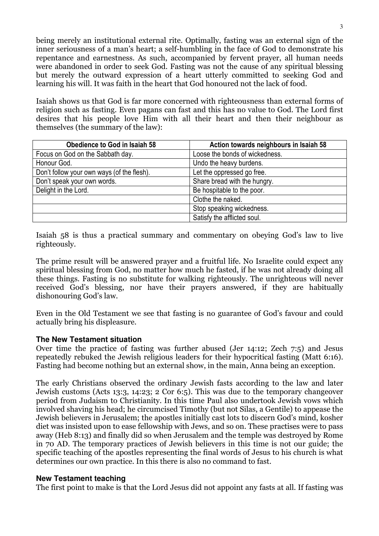being merely an institutional external rite. Optimally, fasting was an external sign of the inner seriousness of a man's heart; a self-humbling in the face of God to demonstrate his repentance and earnestness. As such, accompanied by fervent prayer, all human needs were abandoned in order to seek God. Fasting was not the cause of any spiritual blessing but merely the outward expression of a heart utterly committed to seeking God and learning his will. It was faith in the heart that God honoured not the lack of food.

Isaiah shows us that God is far more concerned with righteousness than external forms of religion such as fasting. Even pagans can fast and this has no value to God. The Lord first desires that his people love Him with all their heart and then their neighbour as themselves (the summary of the law):

| Obedience to God in Isaiah 58              | Action towards neighbours in Isaiah 58 |
|--------------------------------------------|----------------------------------------|
| Focus on God on the Sabbath day.           | Loose the bonds of wickedness.         |
| Honour God.                                | Undo the heavy burdens.                |
| Don't follow your own ways (of the flesh). | Let the oppressed go free.             |
| Don't speak your own words.                | Share bread with the hungry.           |
| Delight in the Lord.                       | Be hospitable to the poor.             |
|                                            | Clothe the naked.                      |
|                                            | Stop speaking wickedness.              |
|                                            | Satisfy the afflicted soul.            |

Isaiah 58 is thus a practical summary and commentary on obeying God's law to live righteously.

The prime result will be answered prayer and a fruitful life. No Israelite could expect any spiritual blessing from God, no matter how much he fasted, if he was not already doing all these things. Fasting is no substitute for walking righteously. The unrighteous will never received God's blessing, nor have their prayers answered, if they are habitually dishonouring God's law.

Even in the Old Testament we see that fasting is no guarantee of God's favour and could actually bring his displeasure.

## **The New Testament situation**

Over time the practice of fasting was further abused (Jer 14:12; Zech 7:5) and Jesus repeatedly rebuked the Jewish religious leaders for their hypocritical fasting (Matt 6:16). Fasting had become nothing but an external show, in the main, Anna being an exception.

The early Christians observed the ordinary Jewish fasts according to the law and later Jewish customs (Acts 13:3, 14:23; 2 Cor 6:5). This was due to the temporary changeover period from Judaism to Christianity. In this time Paul also undertook Jewish vows which involved shaving his head; he circumcised Timothy (but not Silas, a Gentile) to appease the Jewish believers in Jerusalem; the apostles initially cast lots to discern God's mind, kosher diet was insisted upon to ease fellowship with Jews, and so on. These practises were to pass away (Heb 8:13) and finally did so when Jerusalem and the temple was destroyed by Rome in 70 AD. The temporary practices of Jewish believers in this time is not our guide; the specific teaching of the apostles representing the final words of Jesus to his church is what determines our own practice. In this there is also no command to fast.

#### **New Testament teaching**

The first point to make is that the Lord Jesus did not appoint any fasts at all. If fasting was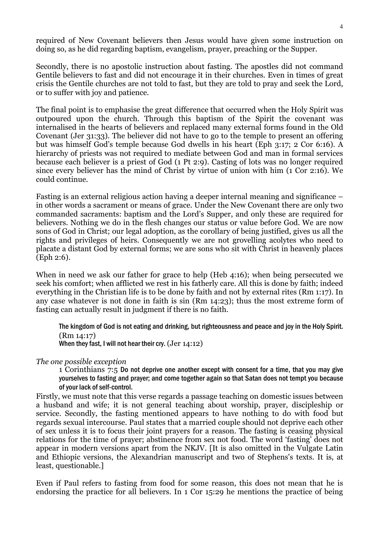required of New Covenant believers then Jesus would have given some instruction on doing so, as he did regarding baptism, evangelism, prayer, preaching or the Supper.

Secondly, there is no apostolic instruction about fasting. The apostles did not command Gentile believers to fast and did not encourage it in their churches. Even in times of great crisis the Gentile churches are not told to fast, but they are told to pray and seek the Lord, or to suffer with joy and patience.

The final point is to emphasise the great difference that occurred when the Holy Spirit was outpoured upon the church. Through this baptism of the Spirit the covenant was internalised in the hearts of believers and replaced many external forms found in the Old Covenant (Jer 31:33). The believer did not have to go to the temple to present an offering but was himself God's temple because God dwells in his heart (Eph 3:17; 2 Cor 6:16). A hierarchy of priests was not required to mediate between God and man in formal services because each believer is a priest of God (1 Pt 2:9). Casting of lots was no longer required since every believer has the mind of Christ by virtue of union with him (1 Cor 2:16). We could continue.

Fasting is an external religious action having a deeper internal meaning and significance – in other words a sacrament or means of grace. Under the New Covenant there are only two commanded sacraments: baptism and the Lord's Supper, and only these are required for believers. Nothing we do in the flesh changes our status or value before God. We are now sons of God in Christ; our legal adoption, as the corollary of being justified, gives us all the rights and privileges of heirs. Consequently we are not grovelling acolytes who need to placate a distant God by external forms; we are sons who sit with Christ in heavenly places (Eph 2:6).

When in need we ask our father for grace to help (Heb 4:16); when being persecuted we seek his comfort; when afflicted we rest in his fatherly care. All this is done by faith; indeed everything in the Christian life is to be done by faith and not by external rites (Rm 1:17). In any case whatever is not done in faith is sin (Rm 14:23); thus the most extreme form of fasting can actually result in judgment if there is no faith.

The kingdom of God is not eating and drinking, but righteousness and peace and joy in the Holy Spirit. (Rm 14:17)

When they fast, I will not hear their cry. (Jer 14:12)

#### The one possible exception

1 Corinthians 7:5 Do not deprive one another except with consent for a time, that you may give yourselves to fasting and prayer; and come together again so that Satan does not tempt you because of your lack of self-control.

Firstly, we must note that this verse regards a passage teaching on domestic issues between a husband and wife; it is not general teaching about worship, prayer, discipleship or service. Secondly, the fasting mentioned appears to have nothing to do with food but regards sexual intercourse. Paul states that a married couple should not deprive each other of sex unless it is to focus their joint prayers for a reason. The fasting is ceasing physical relations for the time of prayer; abstinence from sex not food. The word 'fasting' does not appear in modern versions apart from the NKJV. [It is also omitted in the Vulgate Latin and Ethiopic versions, the Alexandrian manuscript and two of Stephens's texts. It is, at least, questionable.]

Even if Paul refers to fasting from food for some reason, this does not mean that he is endorsing the practice for all believers. In 1 Cor 15:29 he mentions the practice of being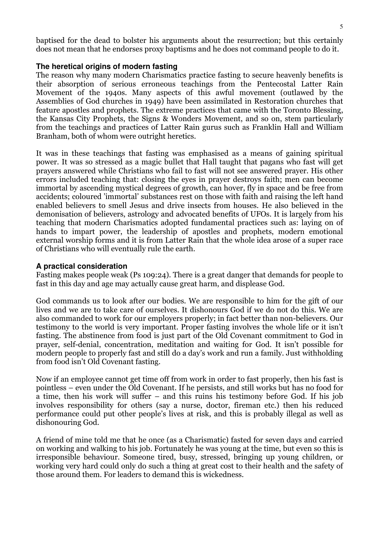baptised for the dead to bolster his arguments about the resurrection; but this certainly does not mean that he endorses proxy baptisms and he does not command people to do it.

### **The heretical origins of modern fasting**

The reason why many modern Charismatics practice fasting to secure heavenly benefits is their absorption of serious erroneous teachings from the Pentecostal Latter Rain Movement of the 1940s. Many aspects of this awful movement (outlawed by the Assemblies of God churches in 1949) have been assimilated in Restoration churches that feature apostles and prophets. The extreme practices that came with the Toronto Blessing, the Kansas City Prophets, the Signs & Wonders Movement, and so on, stem particularly from the teachings and practices of Latter Rain gurus such as Franklin Hall and William Branham, both of whom were outright heretics.

It was in these teachings that fasting was emphasised as a means of gaining spiritual power. It was so stressed as a magic bullet that Hall taught that pagans who fast will get prayers answered while Christians who fail to fast will not see answered prayer. His other errors included teaching that: closing the eyes in prayer destroys faith; men can become immortal by ascending mystical degrees of growth, can hover, fly in space and be free from accidents; coloured 'immortal' substances rest on those with faith and raising the left hand enabled believers to smell Jesus and drive insects from houses. He also believed in the demonisation of believers, astrology and advocated benefits of UFOs. It is largely from his teaching that modern Charismatics adopted fundamental practices such as: laying on of hands to impart power, the leadership of apostles and prophets, modern emotional external worship forms and it is from Latter Rain that the whole idea arose of a super race of Christians who will eventually rule the earth.

#### **A practical consideration**

Fasting makes people weak (Ps 109:24). There is a great danger that demands for people to fast in this day and age may actually cause great harm, and displease God.

God commands us to look after our bodies. We are responsible to him for the gift of our lives and we are to take care of ourselves. It dishonours God if we do not do this. We are also commanded to work for our employers properly; in fact better than non-believers. Our testimony to the world is very important. Proper fasting involves the whole life or it isn't fasting. The abstinence from food is just part of the Old Covenant commitment to God in prayer, self-denial, concentration, meditation and waiting for God. It isn't possible for modern people to properly fast and still do a day's work and run a family. Just withholding from food isn't Old Covenant fasting.

Now if an employee cannot get time off from work in order to fast properly, then his fast is pointless – even under the Old Covenant. If he persists, and still works but has no food for a time, then his work will suffer – and this ruins his testimony before God. If his job involves responsibility for others (say a nurse, doctor, fireman etc.) then his reduced performance could put other people's lives at risk, and this is probably illegal as well as dishonouring God.

A friend of mine told me that he once (as a Charismatic) fasted for seven days and carried on working and walking to his job. Fortunately he was young at the time, but even so this is irresponsible behaviour. Someone tired, busy, stressed, bringing up young children, or working very hard could only do such a thing at great cost to their health and the safety of those around them. For leaders to demand this is wickedness.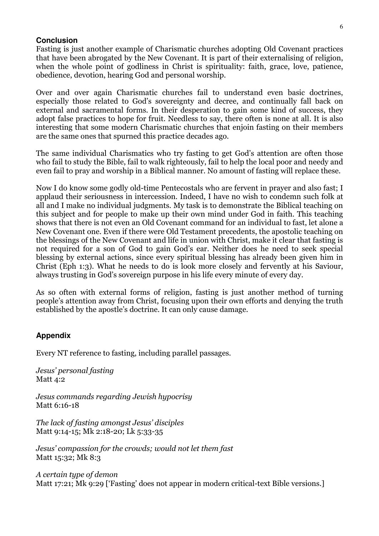#### **Conclusion**

Fasting is just another example of Charismatic churches adopting Old Covenant practices that have been abrogated by the New Covenant. It is part of their externalising of religion, when the whole point of godliness in Christ is spirituality: faith, grace, love, patience, obedience, devotion, hearing God and personal worship.

Over and over again Charismatic churches fail to understand even basic doctrines, especially those related to God's sovereignty and decree, and continually fall back on external and sacramental forms. In their desperation to gain some kind of success, they adopt false practices to hope for fruit. Needless to say, there often is none at all. It is also interesting that some modern Charismatic churches that enjoin fasting on their members are the same ones that spurned this practice decades ago.

The same individual Charismatics who try fasting to get God's attention are often those who fail to study the Bible, fail to walk righteously, fail to help the local poor and needy and even fail to pray and worship in a Biblical manner. No amount of fasting will replace these.

Now I do know some godly old-time Pentecostals who are fervent in prayer and also fast; I applaud their seriousness in intercession. Indeed, I have no wish to condemn such folk at all and I make no individual judgments. My task is to demonstrate the Biblical teaching on this subject and for people to make up their own mind under God in faith. This teaching shows that there is not even an Old Covenant command for an individual to fast, let alone a New Covenant one. Even if there were Old Testament precedents, the apostolic teaching on the blessings of the New Covenant and life in union with Christ, make it clear that fasting is not required for a son of God to gain God's ear. Neither does he need to seek special blessing by external actions, since every spiritual blessing has already been given him in Christ (Eph 1:3). What he needs to do is look more closely and fervently at his Saviour, always trusting in God's sovereign purpose in his life every minute of every day.

As so often with external forms of religion, fasting is just another method of turning people's attention away from Christ, focusing upon their own efforts and denying the truth established by the apostle's doctrine. It can only cause damage.

#### **Appendix**

Every NT reference to fasting, including parallel passages.

Jesus' personal fasting Matt 4:2

Jesus commands regarding Jewish hypocrisy Matt 6:16-18

The lack of fasting amongst Jesus' disciples Matt 9:14-15; Mk 2:18-20; Lk 5:33-35

Jesus' compassion for the crowds; would not let them fast Matt 15:32; Mk 8:3

A certain type of demon Matt 17:21; Mk 9:29 ['Fasting' does not appear in modern critical-text Bible versions.]